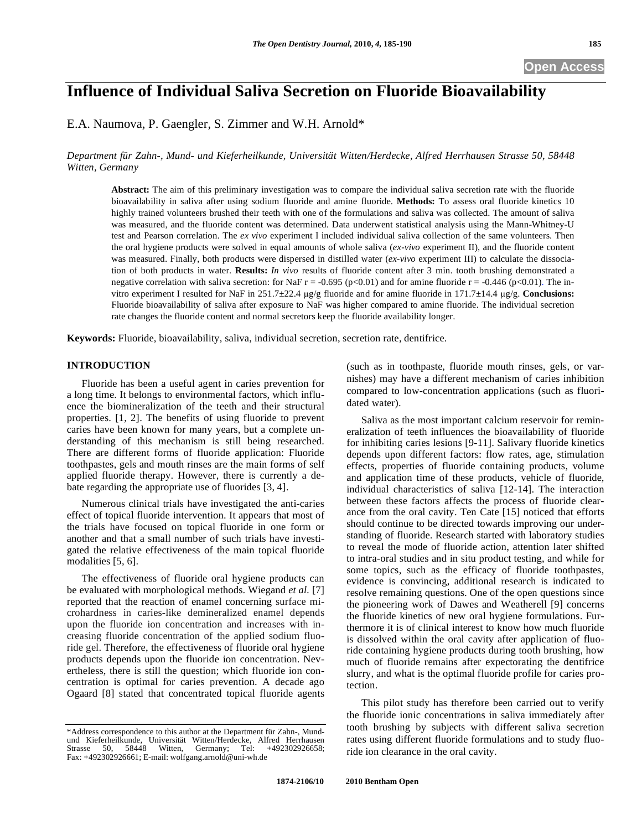# **Influence of Individual Saliva Secretion on Fluoride Bioavailability**

E.A. Naumova, P. Gaengler, S. Zimmer and W.H. Arnold\*

*Department für Zahn-, Mund- und Kieferheilkunde, Universität Witten/Herdecke, Alfred Herrhausen Strasse 50, 58448 Witten, Germany* 

**Abstract:** The aim of this preliminary investigation was to compare the individual saliva secretion rate with the fluoride bioavailability in saliva after using sodium fluoride and amine fluoride. **Methods:** To assess oral fluoride kinetics 10 highly trained volunteers brushed their teeth with one of the formulations and saliva was collected. The amount of saliva was measured, and the fluoride content was determined. Data underwent statistical analysis using the Mann-Whitney-U test and Pearson correlation. The *ex vivo* experiment I included individual saliva collection of the same volunteers. Then the oral hygiene products were solved in equal amounts of whole saliva (*ex-vivo* experiment II), and the fluoride content was measured. Finally, both products were dispersed in distilled water (*ex-vivo* experiment III) to calculate the dissociation of both products in water. **Results:** *In vivo* results of fluoride content after 3 min. tooth brushing demonstrated a negative correlation with saliva secretion: for NaF r = -0.695 (p<0.01) and for amine fluoride r = -0.446 (p<0.01). The invitro experiment I resulted for NaF in 251.7±22.4 g/g fluoride and for amine fluoride in 171.7±14.4 g/g. **Conclusions:** Fluoride bioavailability of saliva after exposure to NaF was higher compared to amine fluoride. The individual secretion rate changes the fluoride content and normal secretors keep the fluoride availability longer.

**Keywords:** Fluoride, bioavailability, saliva, individual secretion, secretion rate, dentifrice.

#### **INTRODUCTION**

Fluoride has been a useful agent in caries prevention for a long time. It belongs to environmental factors, which influence the biomineralization of the teeth and their structural properties. [1, 2]. The benefits of using fluoride to prevent caries have been known for many years, but a complete understanding of this mechanism is still being researched. There are different forms of fluoride application: Fluoride toothpastes, gels and mouth rinses are the main forms of self applied fluoride therapy. However, there is currently a debate regarding the appropriate use of fluorides [3, 4].

Numerous clinical trials have investigated the anti-caries effect of topical fluoride intervention. It appears that most of the trials have focused on topical fluoride in one form or another and that a small number of such trials have investigated the relative effectiveness of the main topical fluoride modalities [5, 6].

The effectiveness of fluoride oral hygiene products can be evaluated with morphological methods. Wiegand *et al.* [7] reported that the reaction of enamel concerning surface microhardness in caries-like demineralized enamel depends upon the fluoride ion concentration and increases with increasing fluoride concentration of the applied sodium fluoride gel. Therefore, the effectiveness of fluoride oral hygiene products depends upon the fluoride ion concentration. Nevertheless, there is still the question; which fluoride ion concentration is optimal for caries prevention. A decade ago Ogaard [8] stated that concentrated topical fluoride agents

(such as in toothpaste, fluoride mouth rinses, gels, or varnishes) may have a different mechanism of caries inhibition compared to low-concentration applications (such as fluoridated water).

Saliva as the most important calcium reservoir for remineralization of teeth influences the bioavailability of fluoride for inhibiting caries lesions [9-11]. Salivary fluoride kinetics depends upon different factors: flow rates, age, stimulation effects, properties of fluoride containing products, volume and application time of these products, vehicle of fluoride, individual characteristics of saliva [12-14]. The interaction between these factors affects the process of fluoride clearance from the oral cavity. Ten Cate [15] noticed that efforts should continue to be directed towards improving our understanding of fluoride. Research started with laboratory studies to reveal the mode of fluoride action, attention later shifted to intra-oral studies and in situ product testing, and while for some topics, such as the efficacy of fluoride toothpastes, evidence is convincing, additional research is indicated to resolve remaining questions. One of the open questions since the pioneering work of Dawes and Weatherell [9] concerns the fluoride kinetics of new oral hygiene formulations. Furthermore it is of clinical interest to know how much fluoride is dissolved within the oral cavity after application of fluoride containing hygiene products during tooth brushing, how much of fluoride remains after expectorating the dentifrice slurry, and what is the optimal fluoride profile for caries protection.

This pilot study has therefore been carried out to verify the fluoride ionic concentrations in saliva immediately after tooth brushing by subjects with different saliva secretion rates using different fluoride formulations and to study fluoride ion clearance in the oral cavity.

<sup>\*</sup>Address correspondence to this author at the Department für Zahn-, Mundund Kieferheilkunde, Universität Witten/Herdecke, Alfred Herrhausen<br>Strasse 50, 58448 Witten, Germany; Tel: +492302926658; Strasse 50, 58448 Witten, Germany; Tel: +492302926658; Fax: +492302926661; E-mail: wolfgang.arnold@uni-wh.de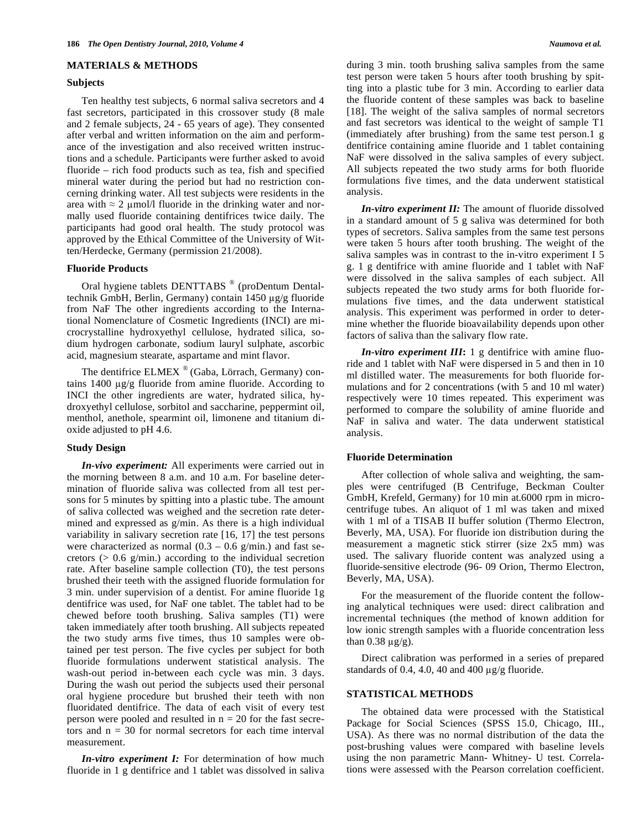#### **MATERIALS & METHODS**

#### **Subjects**

Ten healthy test subjects, 6 normal saliva secretors and 4 fast secretors, participated in this crossover study (8 male and 2 female subjects, 24 - 65 years of age). They consented after verbal and written information on the aim and performance of the investigation and also received written instructions and a schedule. Participants were further asked to avoid fluoride – rich food products such as tea, fish and specified mineral water during the period but had no restriction concerning drinking water. All test subjects were residents in the area with  $\approx 2$  µmol/l fluoride in the drinking water and normally used fluoride containing dentifrices twice daily. The participants had good oral health. The study protocol was approved by the Ethical Committee of the University of Witten/Herdecke, Germany (permission 21/2008).

## **Fluoride Products**

Oral hygiene tablets DENTTABS<sup>®</sup> (proDentum Dentaltechnik GmbH, Berlin, Germany) contain 1450 µg/g fluoride from NaF The other ingredients according to the International Nomenclature of Cosmetic Ingredients (INCI) are microcrystalline hydroxyethyl cellulose, hydrated silica, sodium hydrogen carbonate, sodium lauryl sulphate, ascorbic acid, magnesium stearate, aspartame and mint flavor.

The dentifrice ELMEX ® (Gaba, Lörrach, Germany) contains  $1400 \mu g/g$  fluoride from amine fluoride. According to INCI the other ingredients are water, hydrated silica, hydroxyethyl cellulose, sorbitol and saccharine, peppermint oil, menthol, anethole, spearmint oil, limonene and titanium dioxide adjusted to pH 4.6.

### **Study Design**

*In-vivo experiment:* All experiments were carried out in the morning between 8 a.m. and 10 a.m. For baseline determination of fluoride saliva was collected from all test persons for 5 minutes by spitting into a plastic tube. The amount of saliva collected was weighed and the secretion rate determined and expressed as g/min. As there is a high individual variability in salivary secretion rate [16, 17] the test persons were characterized as normal  $(0.3 - 0.6 \text{ g/min.})$  and fast secretors  $(> 0.6 \text{ g/min.})$  according to the individual secretion rate. After baseline sample collection (T0), the test persons brushed their teeth with the assigned fluoride formulation for 3 min. under supervision of a dentist. For amine fluoride 1g dentifrice was used, for NaF one tablet. The tablet had to be chewed before tooth brushing. Saliva samples (T1) were taken immediately after tooth brushing. All subjects repeated the two study arms five times, thus 10 samples were obtained per test person. The five cycles per subject for both fluoride formulations underwent statistical analysis. The wash-out period in-between each cycle was min. 3 days. During the wash out period the subjects used their personal oral hygiene procedure but brushed their teeth with non fluoridated dentifrice. The data of each visit of every test person were pooled and resulted in  $n = 20$  for the fast secretors and  $n = 30$  for normal secretors for each time interval measurement.

*In-vitro experiment I:* For determination of how much fluoride in 1 g dentifrice and 1 tablet was dissolved in saliva during 3 min. tooth brushing saliva samples from the same test person were taken 5 hours after tooth brushing by spitting into a plastic tube for 3 min. According to earlier data the fluoride content of these samples was back to baseline [18]. The weight of the saliva samples of normal secretors and fast secretors was identical to the weight of sample T1 (immediately after brushing) from the same test person.1 g dentifrice containing amine fluoride and 1 tablet containing NaF were dissolved in the saliva samples of every subject. All subjects repeated the two study arms for both fluoride formulations five times, and the data underwent statistical analysis.

*In-vitro experiment II:* The amount of fluoride dissolved in a standard amount of 5 g saliva was determined for both types of secretors. Saliva samples from the same test persons were taken 5 hours after tooth brushing. The weight of the saliva samples was in contrast to the in-vitro experiment I 5 g. 1 g dentifrice with amine fluoride and 1 tablet with NaF were dissolved in the saliva samples of each subject. All subjects repeated the two study arms for both fluoride formulations five times, and the data underwent statistical analysis. This experiment was performed in order to determine whether the fluoride bioavailability depends upon other factors of saliva than the salivary flow rate.

*In-vitro experiment III***:** 1 g dentifrice with amine fluoride and 1 tablet with NaF were dispersed in 5 and then in 10 ml distilled water. The measurements for both fluoride formulations and for 2 concentrations (with 5 and 10 ml water) respectively were 10 times repeated. This experiment was performed to compare the solubility of amine fluoride and NaF in saliva and water. The data underwent statistical analysis.

#### **Fluoride Determination**

After collection of whole saliva and weighting, the samples were centrifuged (B Centrifuge, Beckman Coulter GmbH, Krefeld, Germany) for 10 min at.6000 rpm in microcentrifuge tubes. An aliquot of 1 ml was taken and mixed with 1 ml of a TISAB II buffer solution (Thermo Electron, Beverly, MA, USA). For fluoride ion distribution during the measurement a magnetic stick stirrer (size 2x5 mm) was used. The salivary fluoride content was analyzed using a fluoride-sensitive electrode (96- 09 Orion, Thermo Electron, Beverly, MA, USA).

For the measurement of the fluoride content the following analytical techniques were used: direct calibration and incremental techniques (the method of known addition for low ionic strength samples with a fluoride concentration less than  $0.38 \text{ µg/g}$ ).

Direct calibration was performed in a series of prepared standards of 0.4, 4.0, 40 and 400  $\mu$ g/g fluoride.

#### **STATISTICAL METHODS**

The obtained data were processed with the Statistical Package for Social Sciences (SPSS 15.0, Chicago, III., USA). As there was no normal distribution of the data the post-brushing values were compared with baseline levels using the non parametric Mann- Whitney- U test. Correlations were assessed with the Pearson correlation coefficient.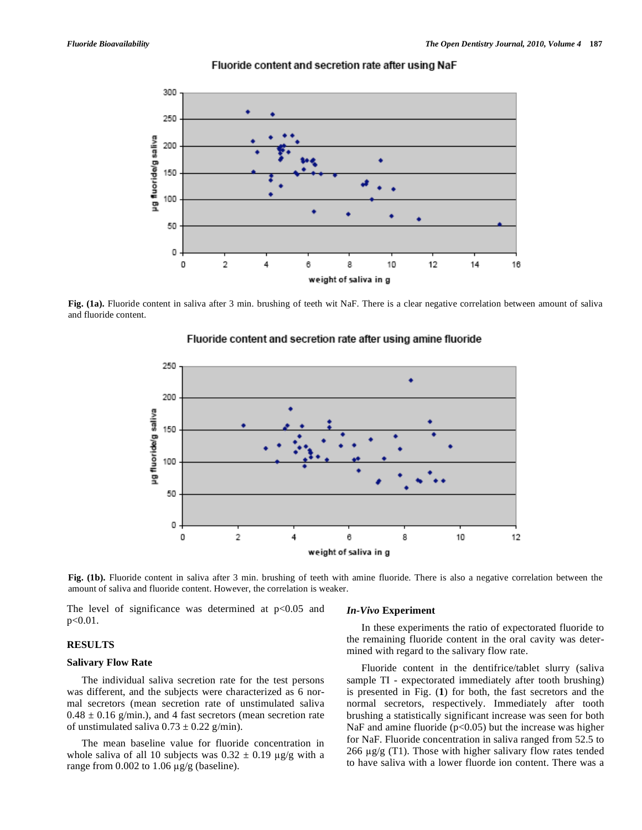

### Fluoride content and secretion rate after using NaF

**Fig. (1a).** Fluoride content in saliva after 3 min. brushing of teeth wit NaF. There is a clear negative correlation between amount of saliva and fluoride content.



# Fluoride content and secretion rate after using amine fluoride

**Fig. (1b).** Fluoride content in saliva after 3 min. brushing of teeth with amine fluoride. There is also a negative correlation between the amount of saliva and fluoride content. However, the correlation is weaker.

The level of significance was determined at  $p<0.05$  and p<0.01.

**RESULTS** 

**Salivary Flow Rate** 

# *In-Vivo* **Experiment**

In these experiments the ratio of expectorated fluoride to the remaining fluoride content in the oral cavity was determined with regard to the salivary flow rate.

The individual saliva secretion rate for the test persons was different, and the subjects were characterized as 6 normal secretors (mean secretion rate of unstimulated saliva  $0.48 \pm 0.16$  g/min.), and 4 fast secretors (mean secretion rate of unstimulated saliva  $0.73 \pm 0.22$  g/min).

The mean baseline value for fluoride concentration in whole saliva of all 10 subjects was  $0.32 \pm 0.19$  µg/g with a range from  $0.002$  to  $1.06 \mu g/g$  (baseline).

Fluoride content in the dentifrice/tablet slurry (saliva sample TI - expectorated immediately after tooth brushing) is presented in Fig. (**1**) for both, the fast secretors and the normal secretors, respectively. Immediately after tooth brushing a statistically significant increase was seen for both NaF and amine fluoride  $(p<0.05)$  but the increase was higher for NaF. Fluoride concentration in saliva ranged from 52.5 to 266  $\mu$ g/g (T1). Those with higher salivary flow rates tended to have saliva with a lower fluorde ion content. There was a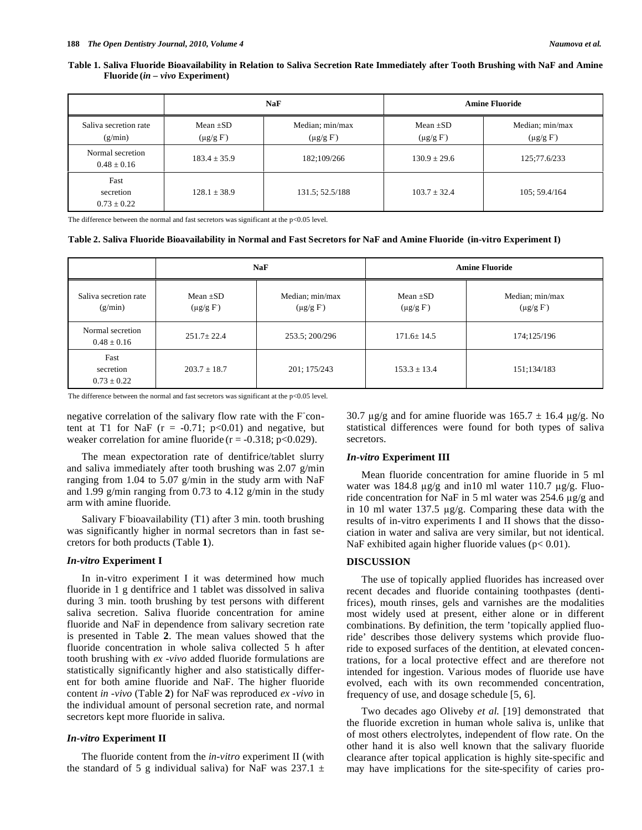#### **Table 1. Saliva Fluoride Bioavailability in Relation to Saliva Secretion Rate Immediately after Tooth Brushing with NaF and Amine Fluoride (***in – vivo* **Experiment)**

|                                      | <b>NaF</b>                     |                                    | <b>Amine Fluoride</b>          |                                  |
|--------------------------------------|--------------------------------|------------------------------------|--------------------------------|----------------------------------|
| Saliva secretion rate<br>(g/min)     | Mean $\pm SD$<br>$(\mu g/g F)$ | Median; min/max<br>$(\mu g/g \ F)$ | Mean $\pm SD$<br>$(\mu g/g F)$ | Median; min/max<br>$(\mu g/g F)$ |
| Normal secretion<br>$0.48 \pm 0.16$  | $183.4 \pm 35.9$               | 182;109/266                        | $130.9 \pm 29.6$               | 125;77.6/233                     |
| Fast<br>secretion<br>$0.73 \pm 0.22$ | $128.1 \pm 38.9$               | 131.5; 52.5/188                    | $103.7 + 32.4$                 | 105; 59.4/164                    |

The difference between the normal and fast secretors was significant at the p<0.05 level.

#### **Table 2. Saliva Fluoride Bioavailability in Normal and Fast Secretors for NaF and Amine Fluoride (in-vitro Experiment I)**

|                                      | <b>NaF</b>                  |                                  | <b>Amine Fluoride</b>          |                                  |
|--------------------------------------|-----------------------------|----------------------------------|--------------------------------|----------------------------------|
| Saliva secretion rate<br>(g/min)     | Mean $+SD$<br>$(\mu g/g F)$ | Median; min/max<br>$(\mu g/g F)$ | Mean $\pm SD$<br>$(\mu g/g F)$ | Median; min/max<br>$(\mu g/g F)$ |
| Normal secretion<br>$0.48 \pm 0.16$  | $251.7 \pm 22.4$            | 253.5; 200/296                   | $171.6 \pm 14.5$               | 174:125/196                      |
| Fast<br>secretion<br>$0.73 \pm 0.22$ | $203.7 + 18.7$              | 201; 175/243                     | $153.3 + 13.4$                 | 151;134/183                      |

The difference between the normal and fast secretors was significant at the p<0.05 level.

negative correlation of the salivary flow rate with the F content at T1 for NaF  $(r = -0.71; p<0.01)$  and negative, but weaker correlation for amine fluoride ( $r = -0.318$ ; p<0.029).

The mean expectoration rate of dentifrice/tablet slurry and saliva immediately after tooth brushing was 2.07 g/min ranging from 1.04 to 5.07 g/min in the study arm with NaF and 1.99 g/min ranging from 0.73 to 4.12 g/min in the study arm with amine fluoride.

Salivary Fbioavailability (T1) after 3 min. tooth brushing was significantly higher in normal secretors than in fast secretors for both products (Table **1**).

#### *In-vitro* **Experiment I**

In in-vitro experiment I it was determined how much fluoride in 1 g dentifrice and 1 tablet was dissolved in saliva during 3 min. tooth brushing by test persons with different saliva secretion. Saliva fluoride concentration for amine fluoride and NaF in dependence from salivary secretion rate is presented in Table **2**. The mean values showed that the fluoride concentration in whole saliva collected 5 h after tooth brushing with *ex -vivo* added fluoride formulations are statistically significantly higher and also statistically different for both amine fluoride and NaF. The higher fluoride content *in -vivo* (Table **2**) for NaF was reproduced *ex -vivo* in the individual amount of personal secretion rate, and normal secretors kept more fluoride in saliva.

# *In-vitro* **Experiment II**

The fluoride content from the *in-vitro* experiment II (with the standard of 5 g individual saliva) for NaF was  $237.1 \pm$  30.7  $\mu$ g/g and for amine fluoride was 165.7  $\pm$  16.4  $\mu$ g/g. No statistical differences were found for both types of saliva secretors.

#### *In-vitro* **Experiment III**

Mean fluoride concentration for amine fluoride in 5 ml water was 184.8  $\mu$ g/g and in10 ml water 110.7  $\mu$ g/g. Fluoride concentration for NaF in 5 ml water was  $254.6 \text{ µg/g}$  and in 10 ml water 137.5  $\mu$ g/g. Comparing these data with the results of in-vitro experiments I and II shows that the dissociation in water and saliva are very similar, but not identical. NaF exhibited again higher fluoride values ( $p < 0.01$ ).

#### **DISCUSSION**

The use of topically applied fluorides has increased over recent decades and fluoride containing toothpastes (dentifrices), mouth rinses, gels and varnishes are the modalities most widely used at present, either alone or in different combinations. By definition, the term 'topically applied fluoride' describes those delivery systems which provide fluoride to exposed surfaces of the dentition, at elevated concentrations, for a local protective effect and are therefore not intended for ingestion. Various modes of fluoride use have evolved, each with its own recommended concentration, frequency of use, and dosage schedule [5, 6].

Two decades ago Oliveby *et al.* [19] demonstrated that the fluoride excretion in human whole saliva is, unlike that of most others electrolytes, independent of flow rate. On the other hand it is also well known that the salivary fluoride clearance after topical application is highly site-specific and may have implications for the site-specifity of caries pro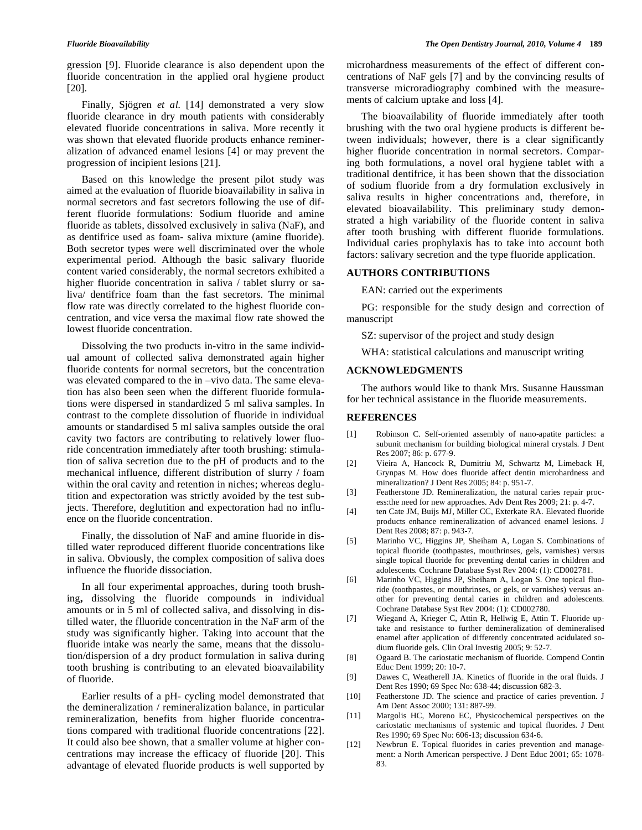gression [9]. Fluoride clearance is also dependent upon the fluoride concentration in the applied oral hygiene product [20].

Finally, Sjögren *et al.* [14] demonstrated a very slow fluoride clearance in dry mouth patients with considerably elevated fluoride concentrations in saliva. More recently it was shown that elevated fluoride products enhance remineralization of advanced enamel lesions [4] or may prevent the progression of incipient lesions [21].

Based on this knowledge the present pilot study was aimed at the evaluation of fluoride bioavailability in saliva in normal secretors and fast secretors following the use of different fluoride formulations: Sodium fluoride and amine fluoride as tablets, dissolved exclusively in saliva (NaF), and as dentifrice used as foam- saliva mixture (amine fluoride). Both secretor types were well discriminated over the whole experimental period. Although the basic salivary fluoride content varied considerably, the normal secretors exhibited a higher fluoride concentration in saliva / tablet slurry or saliva/ dentifrice foam than the fast secretors. The minimal flow rate was directly correlated to the highest fluoride concentration, and vice versa the maximal flow rate showed the lowest fluoride concentration.

Dissolving the two products in-vitro in the same individual amount of collected saliva demonstrated again higher fluoride contents for normal secretors, but the concentration was elevated compared to the in –vivo data. The same elevation has also been seen when the different fluoride formulations were dispersed in standardized 5 ml saliva samples. In contrast to the complete dissolution of fluoride in individual amounts or standardised 5 ml saliva samples outside the oral cavity two factors are contributing to relatively lower fluoride concentration immediately after tooth brushing: stimulation of saliva secretion due to the pH of products and to the mechanical influence, different distribution of slurry / foam within the oral cavity and retention in niches; whereas deglutition and expectoration was strictly avoided by the test subjects. Therefore, deglutition and expectoration had no influence on the fluoride concentration.

Finally, the dissolution of NaF and amine fluoride in distilled water reproduced different fluoride concentrations like in saliva. Obviously, the complex composition of saliva does influence the fluoride dissociation.

In all four experimental approaches, during tooth brushing**,** dissolving the fluoride compounds in individual amounts or in 5 ml of collected saliva, and dissolving in distilled water, the flluoride concentration in the NaF arm of the study was significantly higher. Taking into account that the fluoride intake was nearly the same, means that the dissolution/dispersion of a dry product formulation in saliva during tooth brushing is contributing to an elevated bioavailability of fluoride.

Earlier results of a pH- cycling model demonstrated that the demineralization / remineralization balance, in particular remineralization, benefits from higher fluoride concentrations compared with traditional fluoride concentrations [22]. It could also bee shown, that a smaller volume at higher concentrations may increase the efficacy of fluoride [20]. This advantage of elevated fluoride products is well supported by

microhardness measurements of the effect of different concentrations of NaF gels [7] and by the convincing results of transverse microradiography combined with the measurements of calcium uptake and loss [4].

The bioavailability of fluoride immediately after tooth brushing with the two oral hygiene products is different between individuals; however, there is a clear significantly higher fluoride concentration in normal secretors. Comparing both formulations, a novel oral hygiene tablet with a traditional dentifrice, it has been shown that the dissociation of sodium fluoride from a dry formulation exclusively in saliva results in higher concentrations and, therefore, in elevated bioavailability. This preliminary study demonstrated a high variability of the fluoride content in saliva after tooth brushing with different fluoride formulations. Individual caries prophylaxis has to take into account both factors: salivary secretion and the type fluoride application.

#### **AUTHORS CONTRIBUTIONS**

EAN: carried out the experiments

PG: responsible for the study design and correction of manuscript

SZ: supervisor of the project and study design

WHA: statistical calculations and manuscript writing

#### **ACKNOWLEDGMENTS**

The authors would like to thank Mrs. Susanne Haussman for her technical assistance in the fluoride measurements.

#### **REFERENCES**

- [1] Robinson C. Self-oriented assembly of nano-apatite particles: a subunit mechanism for building biological mineral crystals*.* J Dent Res 2007; 86: p. 677-9.
- [2] Vieira A, Hancock R, Dumitriu M, Schwartz M, Limeback H, Grynpas M. How does fluoride affect dentin microhardness and mineralization? J Dent Res 2005; 84: p. 951-7.
- [3] Featherstone JD. Remineralization, the natural caries repair process:the need for new approaches*.* Adv Dent Res 2009; 21: p. 4-7.
- [4] ten Cate JM, Buijs MJ, Miller CC, Exterkate RA. Elevated fluoride products enhance remineralization of advanced enamel lesions*.* J Dent Res 2008; 87: p. 943-7.
- [5] Marinho VC, Higgins JP, Sheiham A, Logan S. Combinations of topical fluoride (toothpastes, mouthrinses, gels, varnishes) versus single topical fluoride for preventing dental caries in children and adolescents*.* Cochrane Database Syst Rev 2004: (1): CD002781.
- [6] Marinho VC, Higgins JP, Sheiham A, Logan S. One topical fluoride (toothpastes, or mouthrinses, or gels, or varnishes) versus another for preventing dental caries in children and adolescents*.* Cochrane Database Syst Rev 2004: (1): CD002780.
- [7] Wiegand A, Krieger C, Attin R, Hellwig E, Attin T. Fluoride uptake and resistance to further demineralization of demineralised enamel after application of differently concentrated acidulated sodium fluoride gels*.* Clin Oral Investig 2005; 9: 52-7.
- [8] Ogaard B. The cariostatic mechanism of fluoride*.* Compend Contin Educ Dent 1999; 20: 10-7.
- [9] Dawes C, Weatherell JA. Kinetics of fluoride in the oral fluids*.* J Dent Res 1990; 69 Spec No: 638-44; discussion 682-3.
- [10] Featherstone JD. The science and practice of caries prevention*.* J Am Dent Assoc 2000; 131: 887-99.
- [11] Margolis HC, Moreno EC, Physicochemical perspectives on the cariostatic mechanisms of systemic and topical fluorides*.* J Dent Res 1990; 69 Spec No: 606-13; discussion 634-6.
- [12] Newbrun E. Topical fluorides in caries prevention and management: a North American perspective*.* J Dent Educ 2001; 65: 1078- 83.